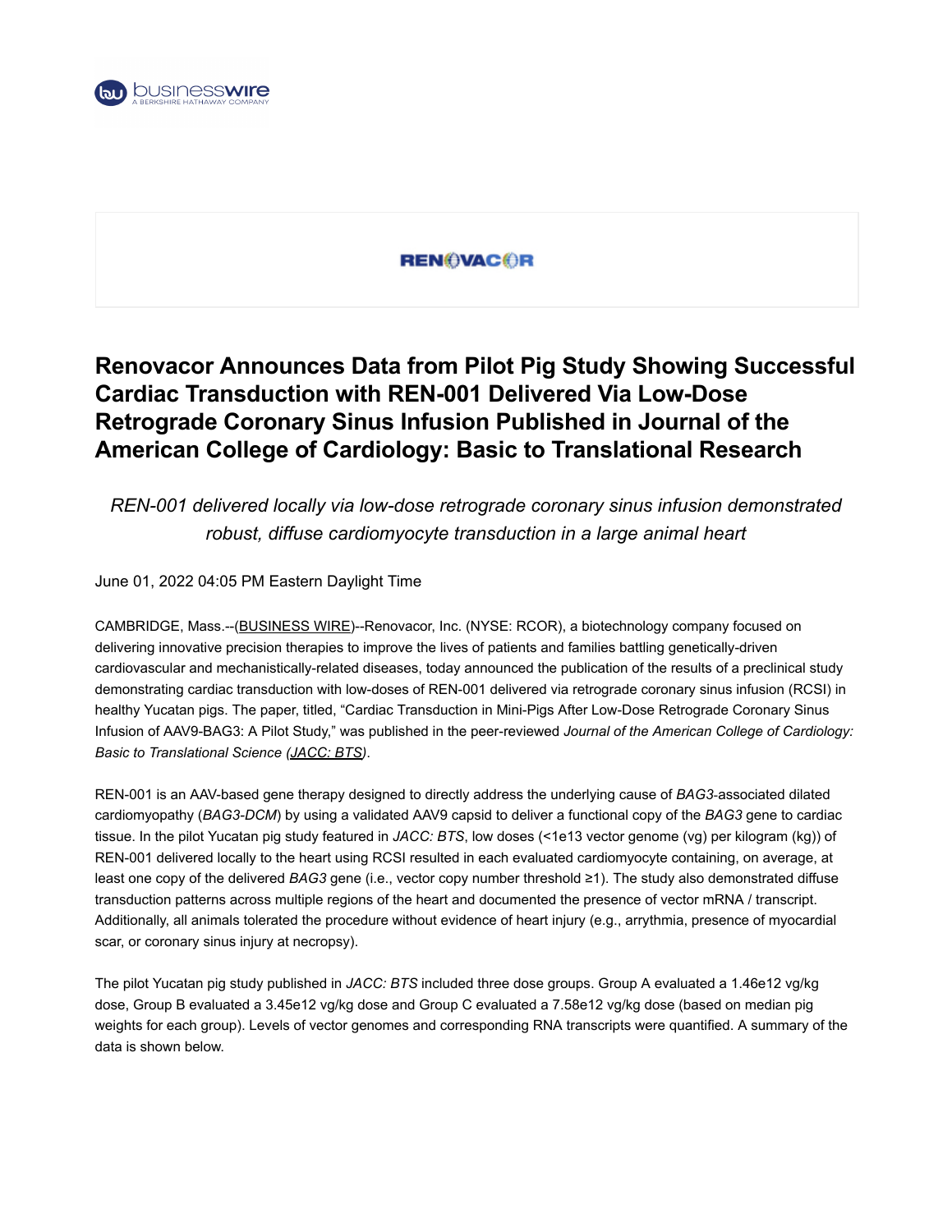

### **REN©VAC©R**

# **Renovacor Announces Data from Pilot Pig Study Showing Successful Cardiac Transduction with REN-001 Delivered Via Low-Dose Retrograde Coronary Sinus Infusion Published in Journal of the American College of Cardiology: Basic to Translational Research**

*REN-001 delivered locally via low-dose retrograde coronary sinus infusion demonstrated robust, diffuse cardiomyocyte transduction in a large animal heart*

June 01, 2022 04:05 PM Eastern Daylight Time

CAMBRIDGE, Mass.--[\(BUSINESS WIRE](https://www.businesswire.com/))--Renovacor, Inc. (NYSE: RCOR), a biotechnology company focused on delivering innovative precision therapies to improve the lives of patients and families battling genetically-driven cardiovascular and mechanistically-related diseases, today announced the publication of the results of a preclinical study demonstrating cardiac transduction with low-doses of REN-001 delivered via retrograde coronary sinus infusion (RCSI) in healthy Yucatan pigs. The paper, titled, "Cardiac Transduction in Mini-Pigs After Low-Dose Retrograde Coronary Sinus Infusion of AAV9-BAG3: A Pilot Study," was published in the peer-reviewed *Journal of the American College of Cardiology: Basic to Translational Science [\(JACC: BTS\)](https://cts.businesswire.com/ct/CT?id=smartlink&url=https%3A%2F%2Fwww.jacc.org%2Fdoi%2F10.1016%2Fj.jacbts.2022.04.002&esheet=52737138&newsitemid=20220601006166&lan=en-US&anchor=JACC%3A+BTS&index=1&md5=dab30569208b8f1674c6b4f0fff27382)*.

REN-001 is an AAV-based gene therapy designed to directly address the underlying cause of *BAG3*‑associated dilated cardiomyopathy (*BAG3-DCM*) by using a validated AAV9 capsid to deliver a functional copy of the *BAG3* gene to cardiac tissue. In the pilot Yucatan pig study featured in *JACC: BTS*, low doses (<1e13 vector genome (vg) per kilogram (kg)) of REN-001 delivered locally to the heart using RCSI resulted in each evaluated cardiomyocyte containing, on average, at least one copy of the delivered *BAG3* gene (i.e., vector copy number threshold ≥1). The study also demonstrated diffuse transduction patterns across multiple regions of the heart and documented the presence of vector mRNA / transcript. Additionally, all animals tolerated the procedure without evidence of heart injury (e.g., arrythmia, presence of myocardial scar, or coronary sinus injury at necropsy).

The pilot Yucatan pig study published in *JACC: BTS* included three dose groups. Group A evaluated a 1.46e12 vg/kg dose, Group B evaluated a 3.45e12 vg/kg dose and Group C evaluated a 7.58e12 vg/kg dose (based on median pig weights for each group). Levels of vector genomes and corresponding RNA transcripts were quantified. A summary of the data is shown below.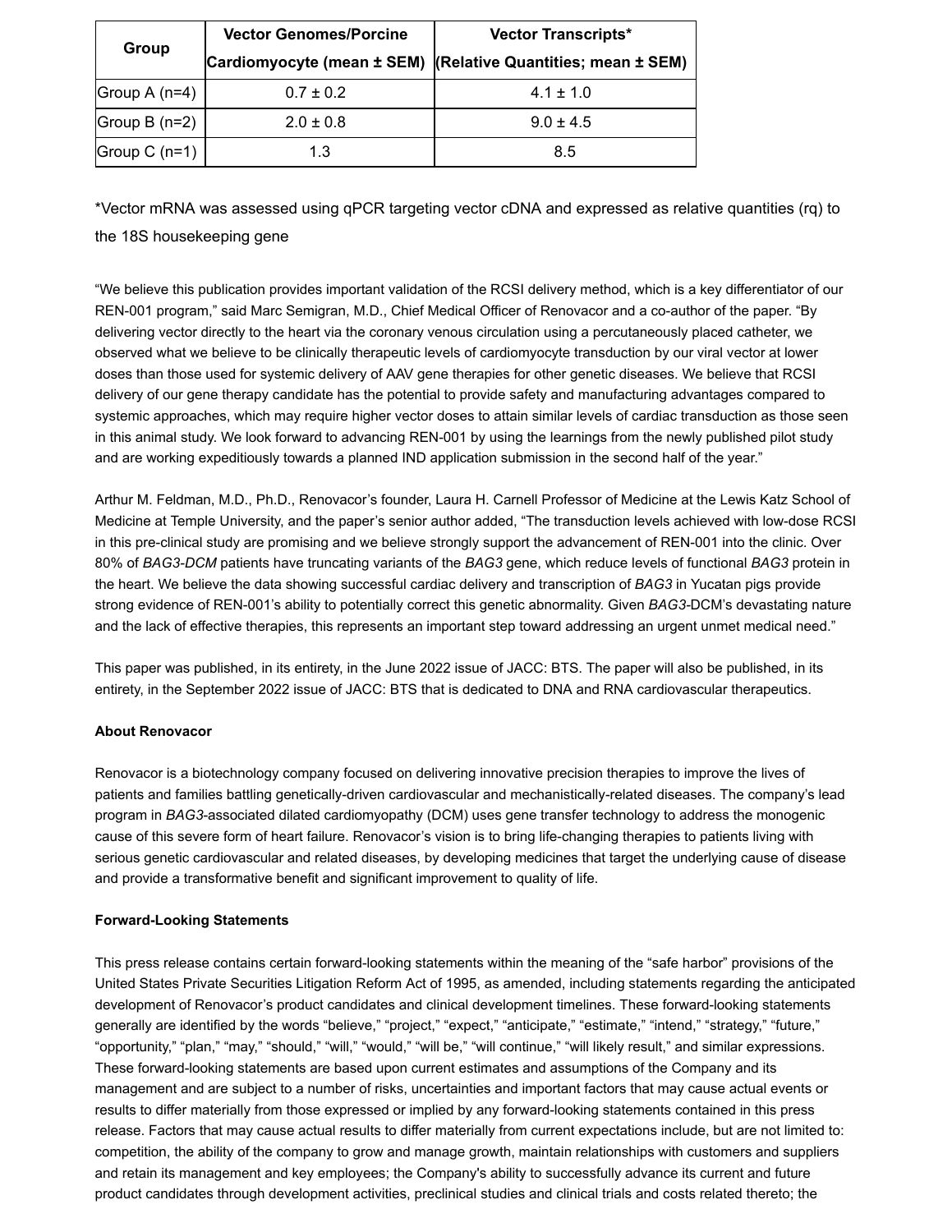| Group           | <b>Vector Genomes/Porcine</b> | <b>Vector Transcripts*</b>                                   |
|-----------------|-------------------------------|--------------------------------------------------------------|
|                 |                               | Cardiomyocyte (mean ± SEM) (Relative Quantities; mean ± SEM) |
| Group $A(n=4)$  | $0.7 \pm 0.2$                 | $4.1 \pm 1.0$                                                |
| Group $B(n=2)$  | $2.0 \pm 0.8$                 | $9.0 \pm 4.5$                                                |
| Group C $(n=1)$ | 1.3                           | 8.5                                                          |

\*Vector mRNA was assessed using qPCR targeting vector cDNA and expressed as relative quantities (rq) to the 18S housekeeping gene

"We believe this publication provides important validation of the RCSI delivery method, which is a key differentiator of our REN-001 program," said Marc Semigran, M.D., Chief Medical Officer of Renovacor and a co-author of the paper. "By delivering vector directly to the heart via the coronary venous circulation using a percutaneously placed catheter, we observed what we believe to be clinically therapeutic levels of cardiomyocyte transduction by our viral vector at lower doses than those used for systemic delivery of AAV gene therapies for other genetic diseases. We believe that RCSI delivery of our gene therapy candidate has the potential to provide safety and manufacturing advantages compared to systemic approaches, which may require higher vector doses to attain similar levels of cardiac transduction as those seen in this animal study. We look forward to advancing REN-001 by using the learnings from the newly published pilot study and are working expeditiously towards a planned IND application submission in the second half of the year."

Arthur M. Feldman, M.D., Ph.D., Renovacor's founder, Laura H. Carnell Professor of Medicine at the Lewis Katz School of Medicine at Temple University, and the paper's senior author added, "The transduction levels achieved with low-dose RCSI in this pre-clinical study are promising and we believe strongly support the advancement of REN-001 into the clinic. Over 80% of *BAG3-DCM* patients have truncating variants of the *BAG3* gene, which reduce levels of functional *BAG3* protein in the heart. We believe the data showing successful cardiac delivery and transcription of *BAG3* in Yucatan pigs provide strong evidence of REN-001's ability to potentially correct this genetic abnormality. Given *BAG3-*DCM's devastating nature and the lack of effective therapies, this represents an important step toward addressing an urgent unmet medical need."

This paper was published, in its entirety, in the June 2022 issue of JACC: BTS. The paper will also be published, in its entirety, in the September 2022 issue of JACC: BTS that is dedicated to DNA and RNA cardiovascular therapeutics.

#### **About Renovacor**

Renovacor is a biotechnology company focused on delivering innovative precision therapies to improve the lives of patients and families battling genetically-driven cardiovascular and mechanistically-related diseases. The company's lead program in *BAG3*-associated dilated cardiomyopathy (DCM) uses gene transfer technology to address the monogenic cause of this severe form of heart failure. Renovacor's vision is to bring life-changing therapies to patients living with serious genetic cardiovascular and related diseases, by developing medicines that target the underlying cause of disease and provide a transformative benefit and significant improvement to quality of life.

#### **Forward-Looking Statements**

This press release contains certain forward-looking statements within the meaning of the "safe harbor" provisions of the United States Private Securities Litigation Reform Act of 1995, as amended, including statements regarding the anticipated development of Renovacor's product candidates and clinical development timelines. These forward-looking statements generally are identified by the words "believe," "project," "expect," "anticipate," "estimate," "intend," "strategy," "future," "opportunity," "plan," "may," "should," "will," "would," "will be," "will continue," "will likely result," and similar expressions. These forward-looking statements are based upon current estimates and assumptions of the Company and its management and are subject to a number of risks, uncertainties and important factors that may cause actual events or results to differ materially from those expressed or implied by any forward-looking statements contained in this press release. Factors that may cause actual results to differ materially from current expectations include, but are not limited to: competition, the ability of the company to grow and manage growth, maintain relationships with customers and suppliers and retain its management and key employees; the Company's ability to successfully advance its current and future product candidates through development activities, preclinical studies and clinical trials and costs related thereto; the